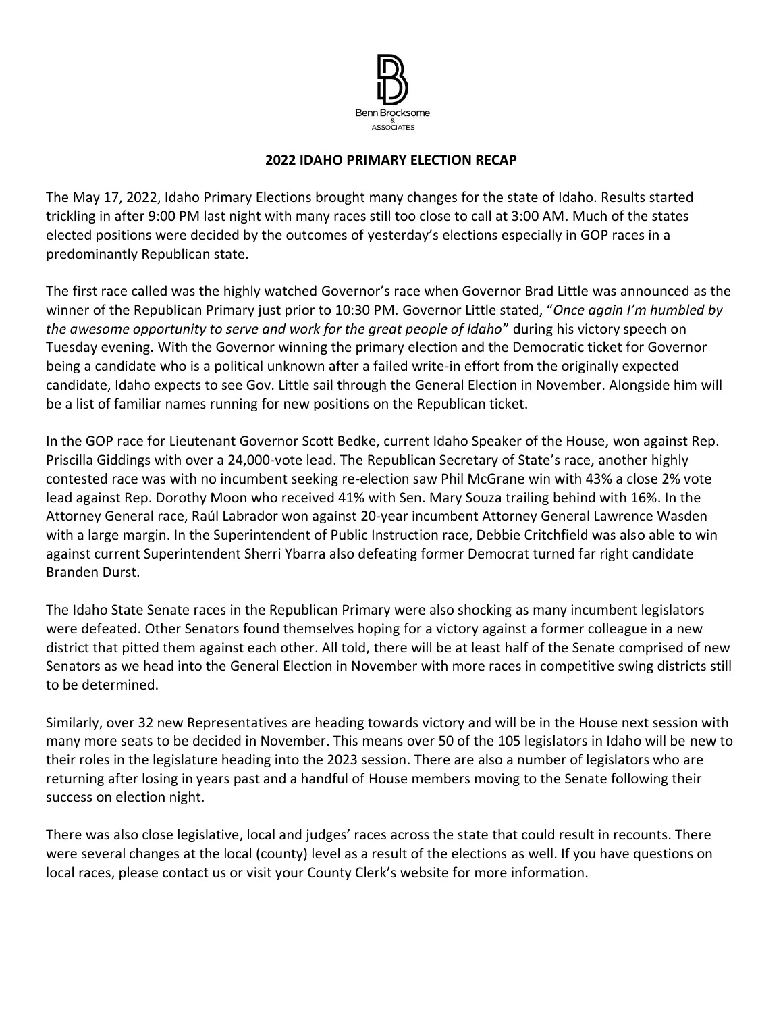

## **2022 IDAHO PRIMARY ELECTION RECAP**

The May 17, 2022, Idaho Primary Elections brought many changes for the state of Idaho. Results started trickling in after 9:00 PM last night with many races still too close to call at 3:00 AM. Much of the states elected positions were decided by the outcomes of yesterday's elections especially in GOP races in a predominantly Republican state.

The first race called was the highly watched Governor's race when Governor Brad Little was announced as the winner of the Republican Primary just prior to 10:30 PM. Governor Little stated, "*Once again I'm humbled by the awesome opportunity to serve and work for the great people of Idaho*" during his victory speech on Tuesday evening. With the Governor winning the primary election and the Democratic ticket for Governor being a candidate who is a political unknown after a failed write-in effort from the originally expected candidate, Idaho expects to see Gov. Little sail through the General Election in November. Alongside him will be a list of familiar names running for new positions on the Republican ticket.

In the GOP race for Lieutenant Governor Scott Bedke, current Idaho Speaker of the House, won against Rep. Priscilla Giddings with over a 24,000-vote lead. The Republican Secretary of State's race, another highly contested race was with no incumbent seeking re-election saw Phil McGrane win with 43% a close 2% vote lead against Rep. Dorothy Moon who received 41% with Sen. Mary Souza trailing behind with 16%. In the Attorney General race, Raúl Labrador won against 20-year incumbent Attorney General Lawrence Wasden with a large margin. In the Superintendent of Public Instruction race, Debbie Critchfield was also able to win against current Superintendent Sherri Ybarra also defeating former Democrat turned far right candidate Branden Durst.

The Idaho State Senate races in the Republican Primary were also shocking as many incumbent legislators were defeated. Other Senators found themselves hoping for a victory against a former colleague in a new district that pitted them against each other. All told, there will be at least half of the Senate comprised of new Senators as we head into the General Election in November with more races in competitive swing districts still to be determined.

Similarly, over 32 new Representatives are heading towards victory and will be in the House next session with many more seats to be decided in November. This means over 50 of the 105 legislators in Idaho will be new to their roles in the legislature heading into the 2023 session. There are also a number of legislators who are returning after losing in years past and a handful of House members moving to the Senate following their success on election night.

There was also close legislative, local and judges' races across the state that could result in recounts. There were several changes at the local (county) level as a result of the elections as well. If you have questions on local races, please contact us or visit your County Clerk's website for more information.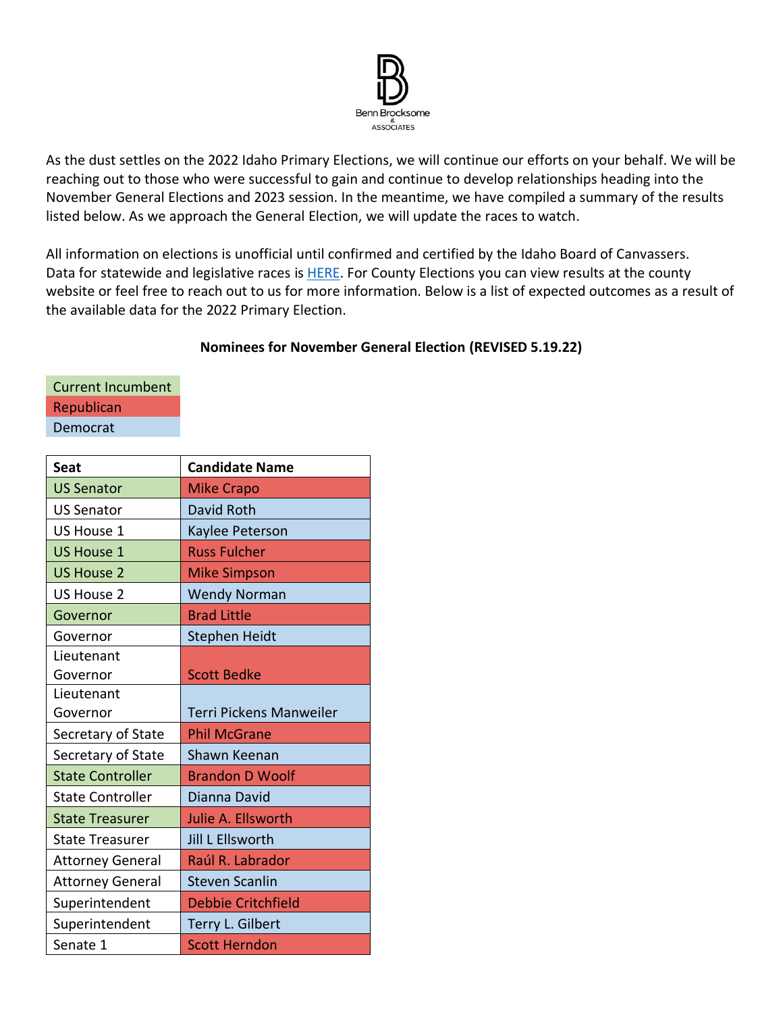

As the dust settles on the 2022 Idaho Primary Elections, we will continue our efforts on your behalf. We will be reaching out to those who were successful to gain and continue to develop relationships heading into the November General Elections and 2023 session. In the meantime, we have compiled a summary of the results listed below. As we approach the General Election, we will update the races to watch.

All information on elections is unofficial until confirmed and certified by the Idaho Board of Canvassers. Data for statewide and legislative races is **HERE**. For County Elections you can view results at the county website or feel free to reach out to us for more information. Below is a list of expected outcomes as a result of the available data for the 2022 Primary Election.

## **Nominees for November General Election (REVISED 5.19.22)**

Current Incumbent Republican Democrat

| <b>Seat</b>             | <b>Candidate Name</b>          |
|-------------------------|--------------------------------|
| <b>US Senator</b>       | <b>Mike Crapo</b>              |
| <b>US Senator</b>       | David Roth                     |
| US House 1              | Kaylee Peterson                |
| <b>US House 1</b>       | <b>Russ Fulcher</b>            |
| <b>US House 2</b>       | <b>Mike Simpson</b>            |
| <b>US House 2</b>       | <b>Wendy Norman</b>            |
| Governor                | <b>Brad Little</b>             |
| Governor                | Stephen Heidt                  |
| Lieutenant              |                                |
| Governor                | <b>Scott Bedke</b>             |
| Lieutenant              |                                |
| Governor                | <b>Terri Pickens Manweiler</b> |
| Secretary of State      | <b>Phil McGrane</b>            |
| Secretary of State      | Shawn Keenan                   |
| <b>State Controller</b> | <b>Brandon D Woolf</b>         |
| <b>State Controller</b> | Dianna David                   |
| <b>State Treasurer</b>  | Julie A. Ellsworth             |
| <b>State Treasurer</b>  | Jill L Ellsworth               |
| <b>Attorney General</b> | Raúl R. Labrador               |
| <b>Attorney General</b> | <b>Steven Scanlin</b>          |
| Superintendent          | <b>Debbie Critchfield</b>      |
| Superintendent          | Terry L. Gilbert               |
| Senate 1                | <b>Scott Herndon</b>           |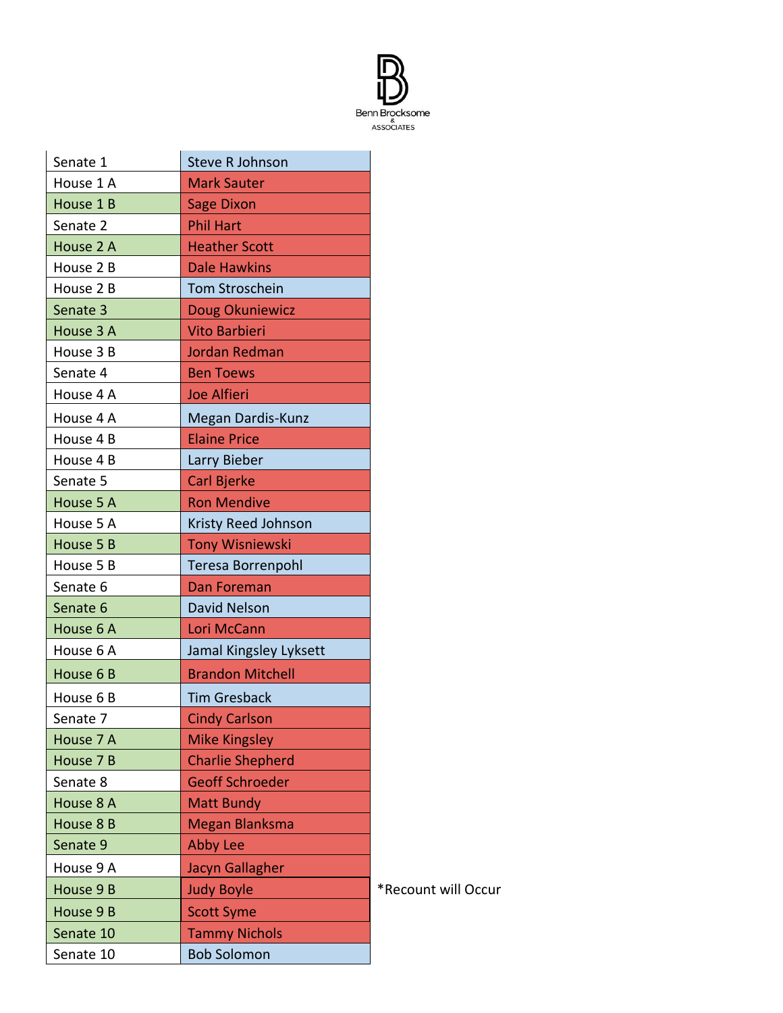

| Senate 1  | <b>Steve R Johnson</b>  |                     |
|-----------|-------------------------|---------------------|
| House 1 A | <b>Mark Sauter</b>      |                     |
| House 1 B | <b>Sage Dixon</b>       |                     |
| Senate 2  | <b>Phil Hart</b>        |                     |
| House 2 A | <b>Heather Scott</b>    |                     |
| House 2 B | <b>Dale Hawkins</b>     |                     |
| House 2 B | Tom Stroschein          |                     |
| Senate 3  | Doug Okuniewicz         |                     |
| House 3 A | <b>Vito Barbieri</b>    |                     |
| House 3 B | <b>Jordan Redman</b>    |                     |
| Senate 4  | <b>Ben Toews</b>        |                     |
| House 4 A | <b>Joe Alfieri</b>      |                     |
| House 4 A | Megan Dardis-Kunz       |                     |
| House 4 B | <b>Elaine Price</b>     |                     |
| House 4 B | Larry Bieber            |                     |
| Senate 5  | <b>Carl Bjerke</b>      |                     |
| House 5 A | <b>Ron Mendive</b>      |                     |
| House 5 A | Kristy Reed Johnson     |                     |
| House 5 B | <b>Tony Wisniewski</b>  |                     |
| House 5 B | Teresa Borrenpohl       |                     |
| Senate 6  | Dan Foreman             |                     |
| Senate 6  | David Nelson            |                     |
| House 6 A | Lori McCann             |                     |
| House 6 A | Jamal Kingsley Lyksett  |                     |
| House 6 B | <b>Brandon Mitchell</b> |                     |
| House 6 B | <b>Tim Gresback</b>     |                     |
| Senate 7  | <b>Cindy Carlson</b>    |                     |
| House 7 A | <b>Mike Kingsley</b>    |                     |
| House 7 B | <b>Charlie Shepherd</b> |                     |
| Senate 8  | <b>Geoff Schroeder</b>  |                     |
| House 8 A | <b>Matt Bundy</b>       |                     |
| House 8 B | <b>Megan Blanksma</b>   |                     |
| Senate 9  | <b>Abby Lee</b>         |                     |
| House 9 A | Jacyn Gallagher         |                     |
| House 9 B | <b>Judy Boyle</b>       | *Recount will Occur |
| House 9 B | <b>Scott Syme</b>       |                     |
| Senate 10 |                         |                     |
|           | <b>Tammy Nichols</b>    |                     |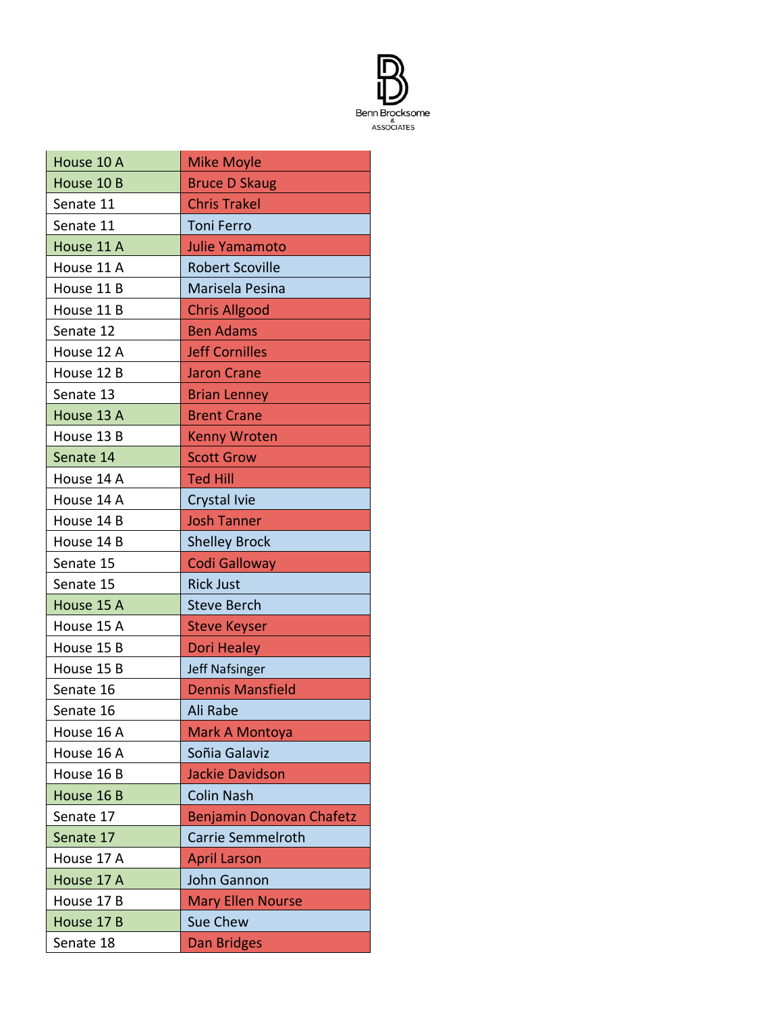

| House 10 A | <b>Mike Moyle</b>        |
|------------|--------------------------|
| House 10 B | <b>Bruce D Skaug</b>     |
| Senate 11  | <b>Chris Trakel</b>      |
| Senate 11  | <b>Toni Ferro</b>        |
| House 11 A | Julie Yamamoto           |
| House 11 A | <b>Robert Scoville</b>   |
| House 11 B | Marisela Pesina          |
| House 11 B | <b>Chris Allgood</b>     |
| Senate 12  | <b>Ben Adams</b>         |
| House 12 A | <b>Jeff Cornilles</b>    |
| House 12 B | <b>Jaron Crane</b>       |
| Senate 13  | <b>Brian Lenney</b>      |
| House 13 A | <b>Brent Crane</b>       |
| House 13 B | <b>Kenny Wroten</b>      |
| Senate 14  | <b>Scott Grow</b>        |
| House 14 A | <b>Ted Hill</b>          |
| House 14 A | Crystal Ivie             |
| House 14 B | <b>Josh Tanner</b>       |
| House 14 B | <b>Shelley Brock</b>     |
|            |                          |
| Senate 15  | <b>Codi Galloway</b>     |
| Senate 15  | <b>Rick Just</b>         |
| House 15 A | <b>Steve Berch</b>       |
| House 15 A | <b>Steve Keyser</b>      |
| House 15 B | <b>Dori Healey</b>       |
| House 15 B | <b>Jeff Nafsinger</b>    |
| Senate 16  | <b>Dennis Mansfield</b>  |
| Senate 16  | Ali Rabe                 |
| House 16 A | Mark A Montoya           |
| House 16 A | Soñia Galaviz            |
| House 16 B | <b>Jackie Davidson</b>   |
| House 16 B | <b>Colin Nash</b>        |
| Senate 17  | Benjamin Donovan Chafetz |
| Senate 17  | <b>Carrie Semmelroth</b> |
| House 17 A | <b>April Larson</b>      |
| House 17 A | John Gannon              |
| House 17 B | <b>Mary Ellen Nourse</b> |
| House 17 B | <b>Sue Chew</b>          |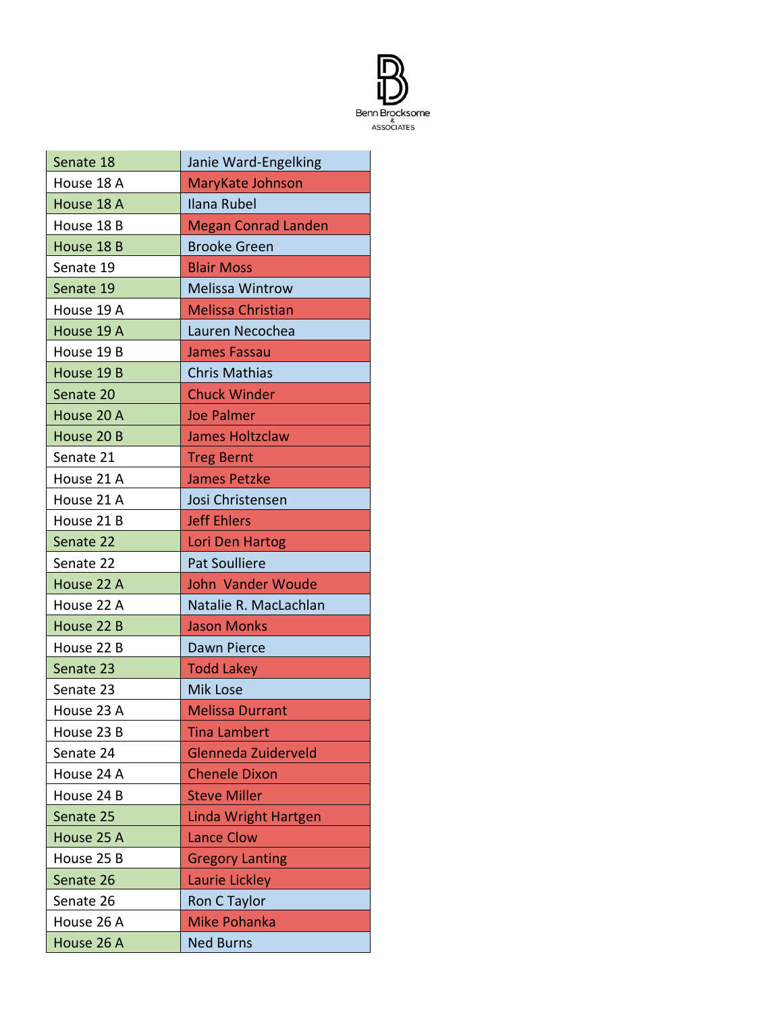

| Senate 18  | Janie Ward-Engelking        |
|------------|-----------------------------|
| House 18 A | MaryKate Johnson            |
| House 18 A | Ilana Rubel                 |
| House 18 B | <b>Megan Conrad Landen</b>  |
| House 18 B | <b>Brooke Green</b>         |
| Senate 19  | <b>Blair Moss</b>           |
| Senate 19  | <b>Melissa Wintrow</b>      |
| House 19 A | <b>Melissa Christian</b>    |
| House 19 A | Lauren Necochea             |
| House 19 B | <b>James Fassau</b>         |
| House 19 B | <b>Chris Mathias</b>        |
| Senate 20  | <b>Chuck Winder</b>         |
| House 20 A | <b>Joe Palmer</b>           |
| House 20 B | <b>James Holtzclaw</b>      |
| Senate 21  | <b>Treg Bernt</b>           |
| House 21 A | <b>James Petzke</b>         |
| House 21 A | Josi Christensen            |
| House 21 B | <b>Jeff Ehlers</b>          |
| Senate 22  | Lori Den Hartog             |
| Senate 22  | <b>Pat Soulliere</b>        |
| House 22 A | <b>John Vander Woude</b>    |
| House 22 A | Natalie R. MacLachlan       |
| House 22 B | <b>Jason Monks</b>          |
| House 22 B | Dawn Pierce                 |
| Senate 23  | <b>Todd Lakey</b>           |
| Senate 23  | <b>Mik Lose</b>             |
| House 23 A | <b>Melissa Durrant</b>      |
| House 23 B | <b>Tina Lambert</b>         |
| Senate 24  | Glenneda Zuiderveld         |
| House 24 A | <b>Chenele Dixon</b>        |
| House 24 B | <b>Steve Miller</b>         |
| Senate 25  | <b>Linda Wright Hartgen</b> |
| House 25 A | <b>Lance Clow</b>           |
| House 25 B | <b>Gregory Lanting</b>      |
| Senate 26  | Laurie Lickley              |
| Senate 26  | Ron C Taylor                |
| House 26 A | <b>Mike Pohanka</b>         |
| House 26 A | <b>Ned Burns</b>            |